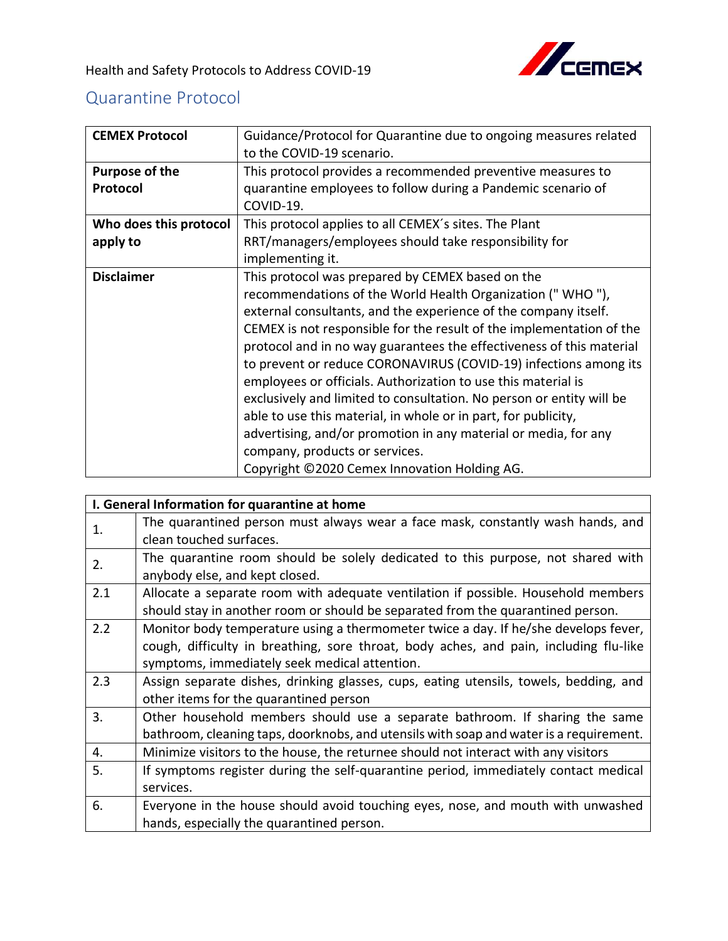

## Quarantine Protocol

| <b>CEMEX Protocol</b>  | Guidance/Protocol for Quarantine due to ongoing measures related     |
|------------------------|----------------------------------------------------------------------|
|                        | to the COVID-19 scenario.                                            |
| <b>Purpose of the</b>  | This protocol provides a recommended preventive measures to          |
| Protocol               | quarantine employees to follow during a Pandemic scenario of         |
|                        | COVID-19.                                                            |
| Who does this protocol | This protocol applies to all CEMEX's sites. The Plant                |
| apply to               | RRT/managers/employees should take responsibility for                |
|                        | implementing it.                                                     |
| <b>Disclaimer</b>      | This protocol was prepared by CEMEX based on the                     |
|                        | recommendations of the World Health Organization ("WHO"),            |
|                        | external consultants, and the experience of the company itself.      |
|                        | CEMEX is not responsible for the result of the implementation of the |
|                        | protocol and in no way guarantees the effectiveness of this material |
|                        | to prevent or reduce CORONAVIRUS (COVID-19) infections among its     |
|                        | employees or officials. Authorization to use this material is        |
|                        | exclusively and limited to consultation. No person or entity will be |
|                        | able to use this material, in whole or in part, for publicity,       |
|                        | advertising, and/or promotion in any material or media, for any      |
|                        | company, products or services.                                       |
|                        | Copyright ©2020 Cemex Innovation Holding AG.                         |

|     | I. General Information for quarantine at home                                          |  |  |
|-----|----------------------------------------------------------------------------------------|--|--|
| 1.  | The quarantined person must always wear a face mask, constantly wash hands, and        |  |  |
|     | clean touched surfaces.                                                                |  |  |
| 2.  | The quarantine room should be solely dedicated to this purpose, not shared with        |  |  |
|     | anybody else, and kept closed.                                                         |  |  |
| 2.1 | Allocate a separate room with adequate ventilation if possible. Household members      |  |  |
|     | should stay in another room or should be separated from the quarantined person.        |  |  |
| 2.2 | Monitor body temperature using a thermometer twice a day. If he/she develops fever,    |  |  |
|     | cough, difficulty in breathing, sore throat, body aches, and pain, including flu-like  |  |  |
|     | symptoms, immediately seek medical attention.                                          |  |  |
| 2.3 | Assign separate dishes, drinking glasses, cups, eating utensils, towels, bedding, and  |  |  |
|     | other items for the quarantined person                                                 |  |  |
| 3.  | Other household members should use a separate bathroom. If sharing the same            |  |  |
|     | bathroom, cleaning taps, doorknobs, and utensils with soap and water is a requirement. |  |  |
| 4.  | Minimize visitors to the house, the returnee should not interact with any visitors     |  |  |
| 5.  | If symptoms register during the self-quarantine period, immediately contact medical    |  |  |
|     | services.                                                                              |  |  |
| 6.  | Everyone in the house should avoid touching eyes, nose, and mouth with unwashed        |  |  |
|     | hands, especially the quarantined person.                                              |  |  |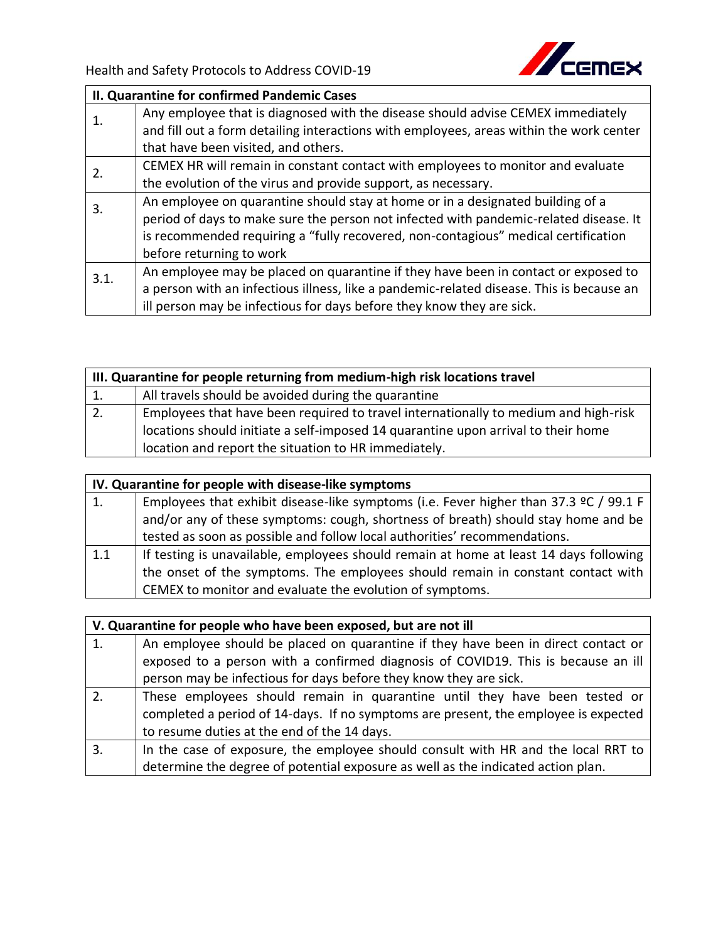

| II. Quarantine for confirmed Pandemic Cases |                                                                                          |  |
|---------------------------------------------|------------------------------------------------------------------------------------------|--|
| 1.                                          | Any employee that is diagnosed with the disease should advise CEMEX immediately          |  |
|                                             | and fill out a form detailing interactions with employees, areas within the work center  |  |
|                                             | that have been visited, and others.                                                      |  |
| 2.                                          | CEMEX HR will remain in constant contact with employees to monitor and evaluate          |  |
|                                             | the evolution of the virus and provide support, as necessary.                            |  |
| 3.                                          | An employee on quarantine should stay at home or in a designated building of a           |  |
|                                             | period of days to make sure the person not infected with pandemic-related disease. It    |  |
|                                             | is recommended requiring a "fully recovered, non-contagious" medical certification       |  |
|                                             | before returning to work                                                                 |  |
| 3.1.                                        | An employee may be placed on quarantine if they have been in contact or exposed to       |  |
|                                             | a person with an infectious illness, like a pandemic-related disease. This is because an |  |
|                                             | ill person may be infectious for days before they know they are sick.                    |  |

| III. Quarantine for people returning from medium-high risk locations travel |                                                                                     |  |
|-----------------------------------------------------------------------------|-------------------------------------------------------------------------------------|--|
| 1.                                                                          | All travels should be avoided during the quarantine                                 |  |
| $\overline{2}$ .                                                            | Employees that have been required to travel internationally to medium and high-risk |  |
|                                                                             | locations should initiate a self-imposed 14 quarantine upon arrival to their home   |  |
|                                                                             | location and report the situation to HR immediately.                                |  |

| IV. Quarantine for people with disease-like symptoms |                                                                                                |
|------------------------------------------------------|------------------------------------------------------------------------------------------------|
| $\overline{1}$ .                                     | Employees that exhibit disease-like symptoms (i.e. Fever higher than 37.3 $\degree$ C / 99.1 F |
|                                                      | and/or any of these symptoms: cough, shortness of breath) should stay home and be              |
|                                                      | tested as soon as possible and follow local authorities' recommendations.                      |
| 1.1                                                  | If testing is unavailable, employees should remain at home at least 14 days following          |
|                                                      | the onset of the symptoms. The employees should remain in constant contact with                |
|                                                      | CEMEX to monitor and evaluate the evolution of symptoms.                                       |

| V. Quarantine for people who have been exposed, but are not ill |                                                                                     |
|-----------------------------------------------------------------|-------------------------------------------------------------------------------------|
| 1.                                                              | An employee should be placed on quarantine if they have been in direct contact or   |
|                                                                 | exposed to a person with a confirmed diagnosis of COVID19. This is because an ill   |
|                                                                 | person may be infectious for days before they know they are sick.                   |
| 2.                                                              | These employees should remain in quarantine until they have been tested or          |
|                                                                 | completed a period of 14-days. If no symptoms are present, the employee is expected |
|                                                                 | to resume duties at the end of the 14 days.                                         |
| $\overline{3}$ .                                                | In the case of exposure, the employee should consult with HR and the local RRT to   |
|                                                                 | determine the degree of potential exposure as well as the indicated action plan.    |